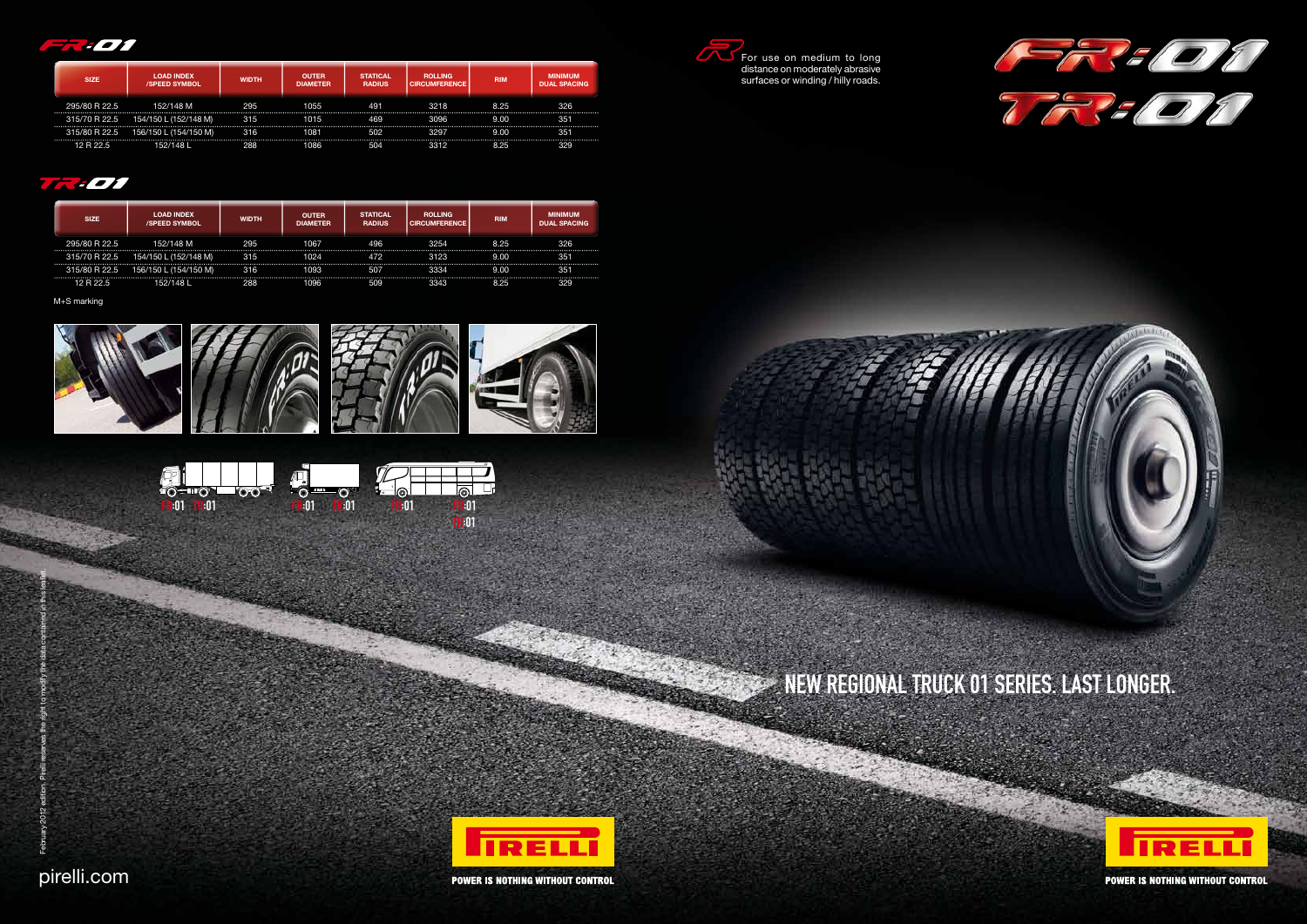NEW REGIONAL TRUCK 01 SERIES. LAST LONGER.



**POWER IS NOTHING WITHOUT CONTROL** 





**POWER IS NOTHING WITHOUT CONTROL** 





| <b>SIZE</b>   | <b>LOAD INDEX</b><br><b>/SPEED SYMBOL</b> | <b>WIDTH</b> | <b>OUTER</b><br><b>DIAMETER</b> | <b>STATICAL</b><br><b>RADIUS</b> | <b>ROLLING</b><br><b>CIRCUMFERENCE</b> | <b>RIM</b> | <b>MINIMUM</b><br><b>DUAL SPACING</b> |
|---------------|-------------------------------------------|--------------|---------------------------------|----------------------------------|----------------------------------------|------------|---------------------------------------|
| 295/80 R 22.5 | 152/148 M                                 | 295          | 1055                            | 491                              | 3218                                   | 8.25       | 326                                   |
| 315/70 R 22.5 | 154/150 L (152/148 M)                     | 315          | 1015                            | 469                              | 3096                                   | 9.00       | 351                                   |
| 315/80 R 22.5 | 156/150 L (154/150 M)                     | 316          | 1081                            | 502                              | 3297                                   | 9.00       | 351                                   |
| 12 R 22 5     | 152/148 L                                 | 288          | 1086                            | 504                              | 3312                                   | 8.25       | 329                                   |

### $\sqrt{4}$

| <b>SIZE</b>   | <b>LOAD INDEX</b><br><b>/SPEED SYMBOL</b> | <b>WIDTH</b> | <b>OUTER</b><br><b>DIAMETER</b> | <b>STATICAL</b><br><b>RADIUS</b> | <b>ROLLING</b><br><b>CIRCUMFERENCE</b> | <b>RIM</b> | <b>MINIMUM</b><br><b>DUAL SPACING</b> |
|---------------|-------------------------------------------|--------------|---------------------------------|----------------------------------|----------------------------------------|------------|---------------------------------------|
| 295/80 R 22.5 | 152/148 M                                 | 295          | 1067                            | 496                              | 3254                                   | 8.25       | 326                                   |
| 315/70 R 22.5 | 154/150 L (152/148 M)                     | 315          | 1024                            | 472                              | 3123                                   | 9.00       | 351                                   |
| 315/80 R 22.5 | L (154/150 M)<br>156/150 L                | 316          | 1093                            | 507                              | 3334                                   | 9.00       | 351                                   |
| 12 R 22.5     | 152/148 L                                 | 288          | 1096                            | 509                              | 3343                                   | 8.25       | 329                                   |

M+S marking